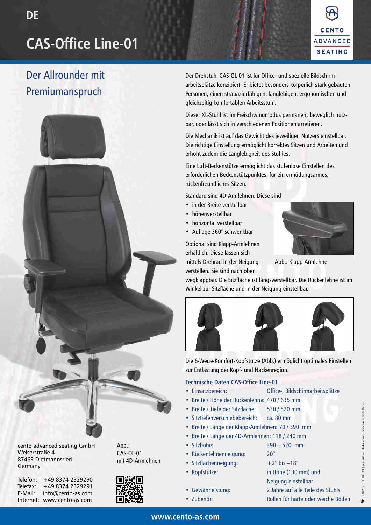# **CAS-Office Line-01**



## Der Allrounder mit Premiumanspruch



cento advanced seating GmbH Welserstraße 4 87463 Dietmannsried Germany

Telefon: Telefax: E-Mail: Internet: www.cento-as.com +49 8374 2329290 +49 8374 2329291 info@cento-as.com



Abb.: CAS-OL-01



Der Drehstuhl CAS-OL-01 ist für Office- und spezielle Bildschirmarbeitsplätze konzipiert. Er bietet besonders körperlich stark gebauten Personen, einen strapazierfähigen, langlebigen, ergonomischen und gleichzeitig komfortablen Arbeitsstuhl.

Dieser XL-Stuhl ist im Freischwingmodus permanent beweglich nutzbar, oder lässt sich in verschiedenen Positionen arretieren.

Die Mechanik ist auf das Gewicht des jeweiligen Nutzers einstellbar. Die richtige Einstellung ermöglicht korrektes Sitzen und Arbeiten und erhöht zudem die Langlebigkeit des Stuhles.

Eine Luft-Beckenstütze ermöglicht das stufenlose Einstellen des erforderlichen Beckenstützpunktes, für ein ermüdungsarmes, rückenfreundliches Sitzen.

Standard sind 4D-Armlehnen. Diese sind

- in der Breite verstellbar
- höhenverstellbar
- horizontal verstellbar
- Auflage 360° schwenkbar

Optional sind Klapp-Armlehnen erhältlich. Diese lassen sich mittels Drehrad in der Neigung verstellen. Sie sind nach oben



Abb.: Klapp-Armlehne

wegklappbar. Die Sitzfläche ist längsverstellbar. Die Rückenlehne ist im Winkel zur Sitzfläche und in der Neigung einstellbar.



Die 6-Wege-Komfort-Kopfstütze (Abb.) ermöglicht optimales Einstellen zur Entlastung der Kopf- und Nackenregion.

#### **Technische Daten CAS-Office Line-01**

- Einsatzbereich: Office-, Bildschirmarbeitsplätze
	-
- Breite / Höhe der Rückenlehne: 470 / 635 mm
- Breite / Tiefe der Sitzfläche: 530 / 520 mm
- Sitztiefenverschiebebereich: ca. 80 mm
- Breite / Länge der Klapp-Armlehnen: 70 / 390 mm
- Breite / Länge der 4D-Armlehnen: 118 / 240 mm
- Sitzhöhe: 390 520 mm
- Rückenlehnenneigung: 20°
- Sitzflächenneigung:  $+2^{\circ}$  bis  $-18^{\circ}$
- 
- Gewährleistung: 2 Jahre auf alle Teile des Stuhls • Zubehör: Rollen für harte oder weiche Böden • Kopfstütze: in Höhe (130 mm) und Neigung einstellbar